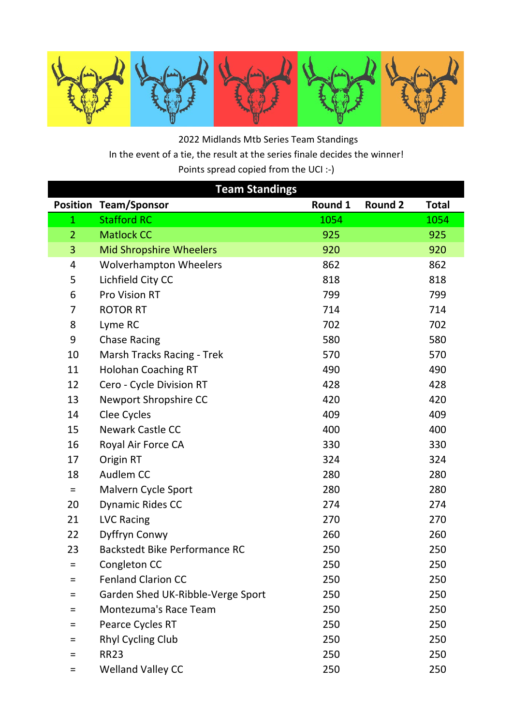

 2022 Midlands Mtb Series Team Standings In the event of a tie, the result at the series finale decides the winner! Points spread copied from the UCI :-)

| <b>Team Standings</b> |                                      |         |                |              |  |  |  |
|-----------------------|--------------------------------------|---------|----------------|--------------|--|--|--|
| <b>Position</b>       | <b>Team/Sponsor</b>                  | Round 1 | <b>Round 2</b> | <b>Total</b> |  |  |  |
| $\mathbf{1}$          | <b>Stafford RC</b>                   | 1054    |                | 1054         |  |  |  |
| $\overline{2}$        | <b>Matlock CC</b>                    | 925     |                | 925          |  |  |  |
| 3                     | <b>Mid Shropshire Wheelers</b>       | 920     |                | 920          |  |  |  |
| 4                     | <b>Wolverhampton Wheelers</b>        | 862     |                | 862          |  |  |  |
| 5                     | Lichfield City CC                    | 818     |                | 818          |  |  |  |
| 6                     | Pro Vision RT                        | 799     |                | 799          |  |  |  |
| 7                     | <b>ROTOR RT</b>                      | 714     |                | 714          |  |  |  |
| 8                     | Lyme RC                              | 702     |                | 702          |  |  |  |
| 9                     | <b>Chase Racing</b>                  | 580     |                | 580          |  |  |  |
| 10                    | Marsh Tracks Racing - Trek           | 570     |                | 570          |  |  |  |
| 11                    | <b>Holohan Coaching RT</b>           | 490     |                | 490          |  |  |  |
| 12                    | Cero - Cycle Division RT             | 428     |                | 428          |  |  |  |
| 13                    | Newport Shropshire CC                | 420     |                | 420          |  |  |  |
| 14                    | Clee Cycles                          | 409     |                | 409          |  |  |  |
| 15                    | <b>Newark Castle CC</b>              | 400     |                | 400          |  |  |  |
| 16                    | Royal Air Force CA                   | 330     |                | 330          |  |  |  |
| 17                    | Origin RT                            | 324     |                | 324          |  |  |  |
| 18                    | Audlem CC                            | 280     |                | 280          |  |  |  |
| $=$                   | Malvern Cycle Sport                  | 280     |                | 280          |  |  |  |
| 20                    | Dynamic Rides CC                     | 274     |                | 274          |  |  |  |
| 21                    | <b>LVC Racing</b>                    | 270     |                | 270          |  |  |  |
| 22                    | Dyffryn Conwy                        | 260     |                | 260          |  |  |  |
| 23                    | <b>Backstedt Bike Performance RC</b> | 250     |                | 250          |  |  |  |
| Ξ                     | Congleton CC                         | 250     |                | 250          |  |  |  |
| $=$                   | <b>Fenland Clarion CC</b>            | 250     |                | 250          |  |  |  |
| $=$                   | Garden Shed UK-Ribble-Verge Sport    | 250     |                | 250          |  |  |  |
| $=$                   | Montezuma's Race Team                | 250     |                | 250          |  |  |  |
| $=$                   | Pearce Cycles RT                     | 250     |                | 250          |  |  |  |
| Ξ                     | <b>Rhyl Cycling Club</b>             | 250     |                | 250          |  |  |  |
| $=$                   | <b>RR23</b>                          | 250     |                | 250          |  |  |  |
| $=$                   | <b>Welland Valley CC</b>             | 250     |                | 250          |  |  |  |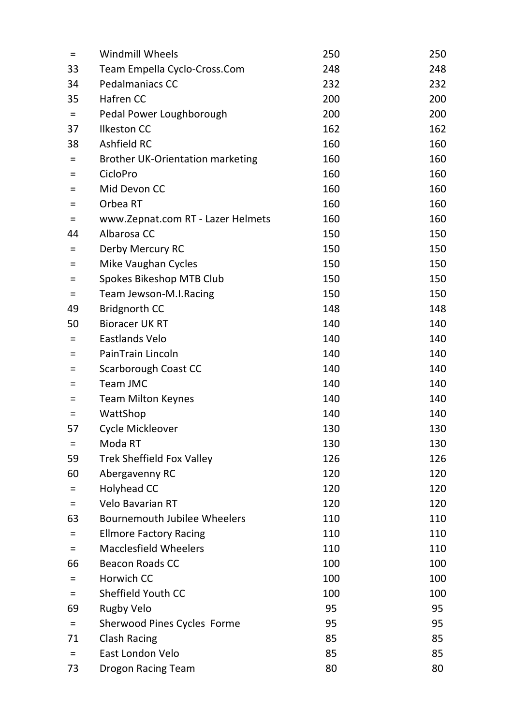| Ξ        | <b>Windmill Wheels</b>                  | 250 | 250 |
|----------|-----------------------------------------|-----|-----|
| 33       | Team Empella Cyclo-Cross.Com            | 248 | 248 |
| 34       | Pedalmaniacs CC                         | 232 | 232 |
| 35       | Hafren CC                               | 200 | 200 |
| $\equiv$ | Pedal Power Loughborough                | 200 | 200 |
| 37       | <b>Ilkeston CC</b>                      | 162 | 162 |
| 38       | Ashfield RC                             | 160 | 160 |
| $=$      | <b>Brother UK-Orientation marketing</b> | 160 | 160 |
| Ξ        | CicloPro                                | 160 | 160 |
| $=$      | Mid Devon CC                            | 160 | 160 |
| Ξ.       | Orbea RT                                | 160 | 160 |
| Ξ        | www.Zepnat.com RT - Lazer Helmets       | 160 | 160 |
| 44       | Albarosa CC                             | 150 | 150 |
| Ξ        | Derby Mercury RC                        | 150 | 150 |
| $\equiv$ | Mike Vaughan Cycles                     | 150 | 150 |
| Ξ        | Spokes Bikeshop MTB Club                | 150 | 150 |
| $=$      | Team Jewson-M.I.Racing                  | 150 | 150 |
| 49       | <b>Bridgnorth CC</b>                    | 148 | 148 |
| 50       | <b>Bioracer UK RT</b>                   | 140 | 140 |
| Ξ        | Eastlands Velo                          | 140 | 140 |
| Ξ        | PainTrain Lincoln                       | 140 | 140 |
| $=$      | Scarborough Coast CC                    | 140 | 140 |
| $=$      | Team JMC                                | 140 | 140 |
| $=$      | <b>Team Milton Keynes</b>               | 140 | 140 |
| $\equiv$ | WattShop                                | 140 | 140 |
| 57       | Cycle Mickleover                        | 130 | 130 |
| $=$      | Moda RT                                 | 130 | 130 |
| 59       | <b>Trek Sheffield Fox Valley</b>        | 126 | 126 |
| 60       | Abergavenny RC                          | 120 | 120 |
| Ξ        | <b>Holyhead CC</b>                      | 120 | 120 |
| $=$      | <b>Velo Bavarian RT</b>                 | 120 | 120 |
| 63       | <b>Bournemouth Jubilee Wheelers</b>     | 110 | 110 |
| $=$      | <b>Ellmore Factory Racing</b>           | 110 | 110 |
| $\equiv$ | <b>Macclesfield Wheelers</b>            | 110 | 110 |
| 66       | <b>Beacon Roads CC</b>                  | 100 | 100 |
| Ξ        | Horwich CC                              | 100 | 100 |
| $=$      | Sheffield Youth CC                      | 100 | 100 |
| 69       | <b>Rugby Velo</b>                       | 95  | 95  |
| $\equiv$ | Sherwood Pines Cycles Forme             | 95  | 95  |
| 71       | <b>Clash Racing</b>                     | 85  | 85  |
| $=$      | East London Velo                        | 85  | 85  |
| 73       | <b>Drogon Racing Team</b>               | 80  | 80  |